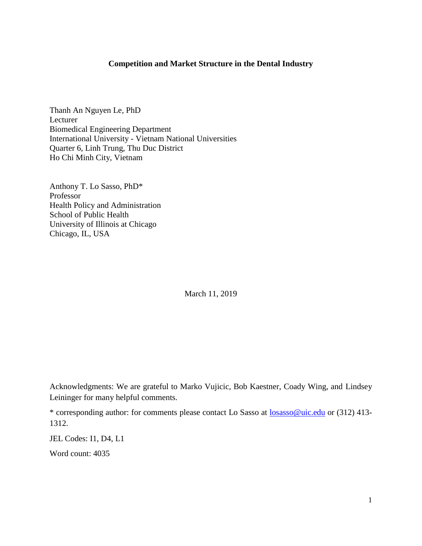## **Competition and Market Structure in the Dental Industry**

Thanh An Nguyen Le, PhD Lecturer Biomedical Engineering Department International University - Vietnam National Universities Quarter 6, Linh Trung, Thu Duc District Ho Chi Minh City, Vietnam

Anthony T. Lo Sasso, PhD\* Professor Health Policy and Administration School of Public Health University of Illinois at Chicago Chicago, IL, USA

March 11, 2019

Acknowledgments: We are grateful to Marko Vujicic, Bob Kaestner, Coady Wing, and Lindsey Leininger for many helpful comments.

\* corresponding author: for comments please contact Lo Sasso at [losasso@uic.edu](mailto:losasso@uic.edu) or (312) 413- 1312.

JEL Codes: I1, D4, L1

Word count: 4035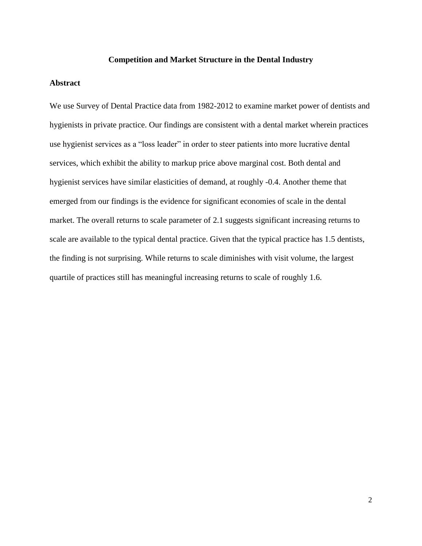#### **Competition and Market Structure in the Dental Industry**

#### **Abstract**

We use Survey of Dental Practice data from 1982-2012 to examine market power of dentists and hygienists in private practice. Our findings are consistent with a dental market wherein practices use hygienist services as a "loss leader" in order to steer patients into more lucrative dental services, which exhibit the ability to markup price above marginal cost. Both dental and hygienist services have similar elasticities of demand, at roughly -0.4. Another theme that emerged from our findings is the evidence for significant economies of scale in the dental market. The overall returns to scale parameter of 2.1 suggests significant increasing returns to scale are available to the typical dental practice. Given that the typical practice has 1.5 dentists, the finding is not surprising. While returns to scale diminishes with visit volume, the largest quartile of practices still has meaningful increasing returns to scale of roughly 1.6.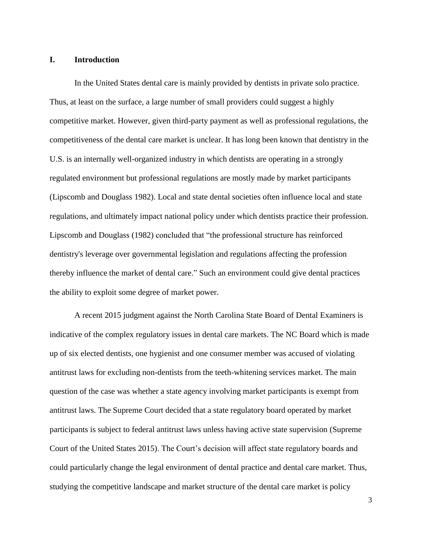#### **I. Introduction**

In the United States dental care is mainly provided by dentists in private solo practice. Thus, at least on the surface, a large number of small providers could suggest a highly competitive market. However, given third-party payment as well as professional regulations, the competitiveness of the dental care market is unclear. It has long been known that dentistry in the U.S. is an internally well-organized industry in which dentists are operating in a strongly regulated environment but professional regulations are mostly made by market participants (Lipscomb and Douglass 1982). Local and state dental societies often influence local and state regulations, and ultimately impact national policy under which dentists practice their profession. Lipscomb and Douglass (1982) concluded that "the professional structure has reinforced dentistry's leverage over governmental legislation and regulations affecting the profession thereby influence the market of dental care." Such an environment could give dental practices the ability to exploit some degree of market power.

A recent 2015 judgment against the North Carolina State Board of Dental Examiners is indicative of the complex regulatory issues in dental care markets. The NC Board which is made up of six elected dentists, one hygienist and one consumer member was accused of violating antitrust laws for excluding non-dentists from the teeth-whitening services market. The main question of the case was whether a state agency involving market participants is exempt from antitrust laws. The Supreme Court decided that a state regulatory board operated by market participants is subject to federal antitrust laws unless having active state supervision (Supreme Court of the United States 2015). The Court's decision will affect state regulatory boards and could particularly change the legal environment of dental practice and dental care market. Thus, studying the competitive landscape and market structure of the dental care market is policy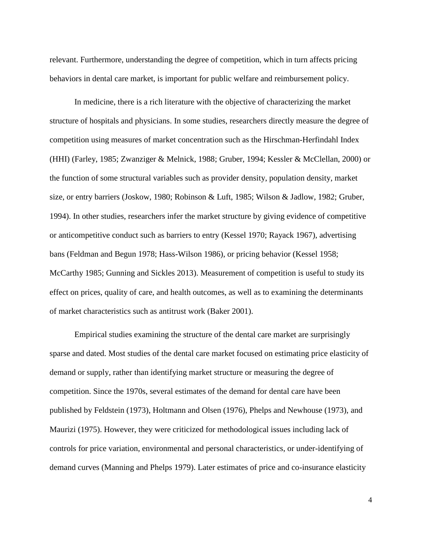relevant. Furthermore, understanding the degree of competition, which in turn affects pricing behaviors in dental care market, is important for public welfare and reimbursement policy.

In medicine, there is a rich literature with the objective of characterizing the market structure of hospitals and physicians. In some studies, researchers directly measure the degree of competition using measures of market concentration such as the Hirschman-Herfindahl Index (HHI) (Farley, 1985; Zwanziger & Melnick, 1988; Gruber, 1994; Kessler & McClellan, 2000) or the function of some structural variables such as provider density, population density, market size, or entry barriers (Joskow, 1980; Robinson & Luft, 1985; Wilson & Jadlow, 1982; Gruber, 1994). In other studies, researchers infer the market structure by giving evidence of competitive or anticompetitive conduct such as barriers to entry (Kessel 1970; Rayack 1967), advertising bans (Feldman and Begun 1978; Hass-Wilson 1986), or pricing behavior (Kessel 1958; McCarthy 1985; Gunning and Sickles 2013). Measurement of competition is useful to study its effect on prices, quality of care, and health outcomes, as well as to examining the determinants of market characteristics such as antitrust work (Baker 2001).

Empirical studies examining the structure of the dental care market are surprisingly sparse and dated. Most studies of the dental care market focused on estimating price elasticity of demand or supply, rather than identifying market structure or measuring the degree of competition. Since the 1970s, several estimates of the demand for dental care have been published by Feldstein (1973), Holtmann and Olsen (1976), Phelps and Newhouse (1973), and Maurizi (1975). However, they were criticized for methodological issues including lack of controls for price variation, environmental and personal characteristics, or under-identifying of demand curves (Manning and Phelps 1979). Later estimates of price and co-insurance elasticity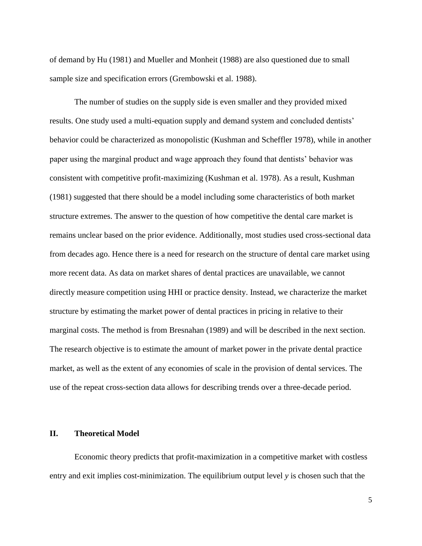of demand by Hu (1981) and Mueller and Monheit (1988) are also questioned due to small sample size and specification errors (Grembowski et al. 1988).

The number of studies on the supply side is even smaller and they provided mixed results. One study used a multi-equation supply and demand system and concluded dentists' behavior could be characterized as monopolistic (Kushman and Scheffler 1978), while in another paper using the marginal product and wage approach they found that dentists' behavior was consistent with competitive profit-maximizing (Kushman et al. 1978). As a result, Kushman (1981) suggested that there should be a model including some characteristics of both market structure extremes. The answer to the question of how competitive the dental care market is remains unclear based on the prior evidence. Additionally, most studies used cross-sectional data from decades ago. Hence there is a need for research on the structure of dental care market using more recent data. As data on market shares of dental practices are unavailable, we cannot directly measure competition using HHI or practice density. Instead, we characterize the market structure by estimating the market power of dental practices in pricing in relative to their marginal costs. The method is from Bresnahan (1989) and will be described in the next section. The research objective is to estimate the amount of market power in the private dental practice market, as well as the extent of any economies of scale in the provision of dental services. The use of the repeat cross-section data allows for describing trends over a three-decade period.

### **II. Theoretical Model**

Economic theory predicts that profit-maximization in a competitive market with costless entry and exit implies cost-minimization. The equilibrium output level *y* is chosen such that the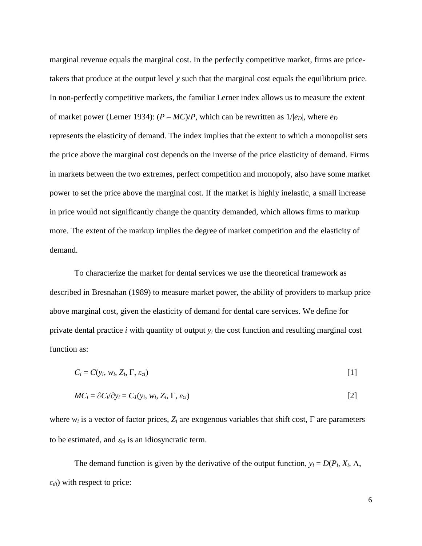marginal revenue equals the marginal cost. In the perfectly competitive market, firms are pricetakers that produce at the output level *y* such that the marginal cost equals the equilibrium price. In non-perfectly competitive markets, the familiar Lerner index allows us to measure the extent of market power (Lerner 1934):  $(P - MC)/P$ , which can be rewritten as  $1/|e_D|$ , where  $e_D$ represents the elasticity of demand. The index implies that the extent to which a monopolist sets the price above the marginal cost depends on the inverse of the price elasticity of demand. Firms in markets between the two extremes, perfect competition and monopoly, also have some market power to set the price above the marginal cost. If the market is highly inelastic, a small increase in price would not significantly change the quantity demanded, which allows firms to markup more. The extent of the markup implies the degree of market competition and the elasticity of demand.

To characterize the market for dental services we use the theoretical framework as described in Bresnahan (1989) to measure market power, the ability of providers to markup price above marginal cost, given the elasticity of demand for dental care services. We define for private dental practice  $i$  with quantity of output  $y_i$  the cost function and resulting marginal cost function as:

$$
C_i = C(y_i, w_i, Z_i, \Gamma, \varepsilon_{ci})
$$

$$
MC_i = \partial C_i/\partial y_i = C_I(y_i, w_i, Z_i, \Gamma, \varepsilon_{ci})
$$
\n
$$
[2]
$$

where  $w_i$  is a vector of factor prices,  $Z_i$  are exogenous variables that shift cost,  $\Gamma$  are parameters to be estimated, and  $\varepsilon_{ci}$  is an idiosyncratic term.

The demand function is given by the derivative of the output function,  $y_i = D(P_i, X_i, \Lambda)$ , *εdi*) with respect to price: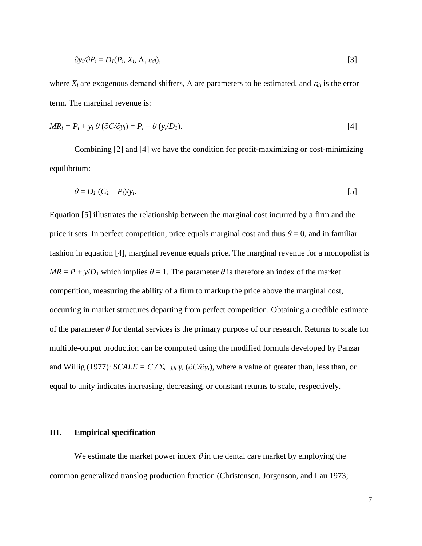$$
\partial y_i/\partial P_i = D_I(P_i, X_i, \Lambda, \varepsilon_{di}),
$$
\n<sup>(3)</sup>

where  $X_i$  are exogenous demand shifters,  $\Lambda$  are parameters to be estimated, and  $\varepsilon_{di}$  is the error term. The marginal revenue is:

$$
MR_i = P_i + y_i \theta \left( \frac{\partial C}{\partial y_i} \right) = P_i + \theta \left( y_i/D_i \right).
$$

Combining [2] and [4] we have the condition for profit-maximizing or cost-minimizing equilibrium:

$$
\theta = D_I (C_I - P_i) / y_i. \tag{5}
$$

Equation [5] illustrates the relationship between the marginal cost incurred by a firm and the price it sets. In perfect competition, price equals marginal cost and thus  $\theta = 0$ , and in familiar fashion in equation [4], marginal revenue equals price. The marginal revenue for a monopolist is  $MR = P + \gamma/D_1$  which implies  $\theta = 1$ . The parameter  $\theta$  is therefore an index of the market competition, measuring the ability of a firm to markup the price above the marginal cost, occurring in market structures departing from perfect competition. Obtaining a credible estimate of the parameter  $\theta$  for dental services is the primary purpose of our research. Returns to scale for multiple-output production can be computed using the modified formula developed by Panzar and Willig (1977): *SCALE* =  $C / \Sigma_{i=d,h} y_i (\partial C / \partial y_i)$ , where a value of greater than, less than, or equal to unity indicates increasing, decreasing, or constant returns to scale, respectively.

## **III. Empirical specification**

We estimate the market power index  $\theta$  in the dental care market by employing the common generalized translog production function (Christensen, Jorgenson, and Lau 1973;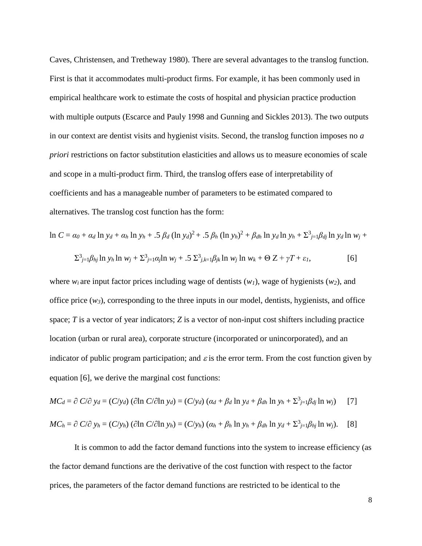Caves, Christensen, and Tretheway 1980). There are several advantages to the translog function. First is that it accommodates multi-product firms. For example, it has been commonly used in empirical healthcare work to estimate the costs of hospital and physician practice production with multiple outputs (Escarce and Pauly 1998 and Gunning and Sickles 2013). The two outputs in our context are dentist visits and hygienist visits. Second, the translog function imposes no *a priori* restrictions on factor substitution elasticities and allows us to measure economies of scale and scope in a multi-product firm. Third, the translog offers ease of interpretability of coefficients and has a manageable number of parameters to be estimated compared to alternatives. The translog cost function has the form:

$$
\ln C = \alpha_0 + \alpha_d \ln y_d + \alpha_h \ln y_h + .5 \beta_d (\ln y_d)^2 + .5 \beta_h (\ln y_h)^2 + \beta_{dh} \ln y_d \ln y_h + \sum_{j=1}^3 \beta_{dj} \ln y_d \ln w_j +
$$
  

$$
\sum_{j=1}^3 \beta_{hj} \ln y_h \ln w_j + \sum_{j=1}^3 \alpha_j \ln w_j + .5 \sum_{j,k=1}^3 \beta_{jk} \ln w_j \ln w_k + \Theta Z + \gamma T + \varepsilon_l,
$$
 [6]

where  $w_i$  are input factor prices including wage of dentists  $(w_1)$ , wage of hygienists  $(w_2)$ , and office price  $(w_3)$ , corresponding to the three inputs in our model, dentists, hygienists, and office space; *T* is a vector of year indicators; *Z* is a vector of non-input cost shifters including practice location (urban or rural area), corporate structure (incorporated or unincorporated), and an indicator of public program participation; and  $\varepsilon$  is the error term. From the cost function given by equation [6], we derive the marginal cost functions:

$$
MC_d = \partial C/\partial y_d = (C/y_d) (\partial \ln C/\partial \ln y_d) = (C/y_d) (a_d + \beta_d \ln y_d + \beta_{dh} \ln y_h + \Sigma^3_{j=1} \beta_{dj} \ln w_j)
$$
 [7]  

$$
MC_h = \partial C/\partial y_h = (C/y_h) (\partial \ln C/\partial \ln y_h) = (C/y_h) (a_h + \beta_h \ln y_h + \beta_{dh} \ln y_d + \Sigma^3_{j=1} \beta_{hj} \ln w_j).
$$
 [8]

It is common to add the factor demand functions into the system to increase efficiency (as the factor demand functions are the derivative of the cost function with respect to the factor prices, the parameters of the factor demand functions are restricted to be identical to the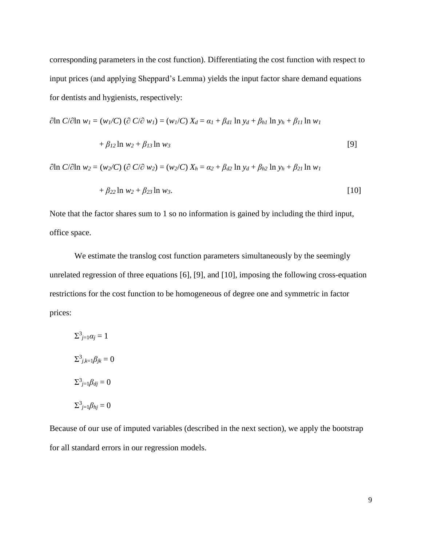corresponding parameters in the cost function). Differentiating the cost function with respect to input prices (and applying Sheppard's Lemma) yields the input factor share demand equations for dentists and hygienists, respectively:

$$
\partial \ln C / \partial \ln w_I = (w_I/C) (\partial C / \partial w_I) = (w_I/C) X_d = \alpha_I + \beta_{dI} \ln y_d + \beta_{hI} \ln y_h + \beta_{II} \ln w_I
$$

$$
+ \beta_{I2} \ln w_2 + \beta_{I3} \ln w_3
$$
 [9]

 $\partial \ln C/\partial \ln w_2 = (w_2/C) (\partial C/\partial w_2) = (w_2/C) X_h = \alpha_2 + \beta_{d2} \ln y_d + \beta_{h2} \ln y_h + \beta_{21} \ln w_1$ 

$$
+\beta_{22}\ln w_2+\beta_{23}\ln w_3.\tag{10}
$$

Note that the factor shares sum to 1 so no information is gained by including the third input, office space.

We estimate the translog cost function parameters simultaneously by the seemingly unrelated regression of three equations [6], [9], and [10], imposing the following cross-equation restrictions for the cost function to be homogeneous of degree one and symmetric in factor prices:

 $\sum_{j=1}^3 a_j = 1$  $\sum_{j,k=1}^3 \beta_{jk} = 0$  $\Sigma_{j=1}^3 \beta_{dj} = 0$  $\Sigma_{j=1}^3 \beta_{hj} = 0$ 

Because of our use of imputed variables (described in the next section), we apply the bootstrap for all standard errors in our regression models.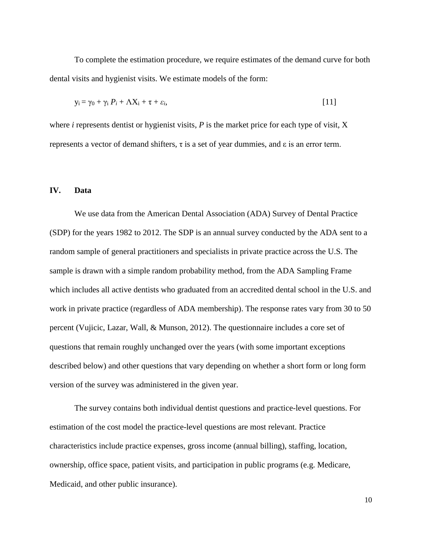To complete the estimation procedure, we require estimates of the demand curve for both dental visits and hygienist visits. We estimate models of the form:

$$
y_i = \gamma_0 + \gamma_i P_i + \Lambda X_i + \tau + \varepsilon_i, \tag{11}
$$

where *i* represents dentist or hygienist visits, *P* is the market price for each type of visit, *X* represents a vector of demand shifters,  $\tau$  is a set of year dummies, and  $\varepsilon$  is an error term.

#### **IV. Data**

We use data from the American Dental Association (ADA) Survey of Dental Practice (SDP) for the years 1982 to 2012. The SDP is an annual survey conducted by the ADA sent to a random sample of general practitioners and specialists in private practice across the U.S. The sample is drawn with a simple random probability method, from the ADA Sampling Frame which includes all active dentists who graduated from an accredited dental school in the U.S. and work in private practice (regardless of ADA membership). The response rates vary from 30 to 50 percent (Vujicic, Lazar, Wall, & Munson, 2012). The questionnaire includes a core set of questions that remain roughly unchanged over the years (with some important exceptions described below) and other questions that vary depending on whether a short form or long form version of the survey was administered in the given year.

The survey contains both individual dentist questions and practice-level questions. For estimation of the cost model the practice-level questions are most relevant. Practice characteristics include practice expenses, gross income (annual billing), staffing, location, ownership, office space, patient visits, and participation in public programs (e.g. Medicare, Medicaid, and other public insurance).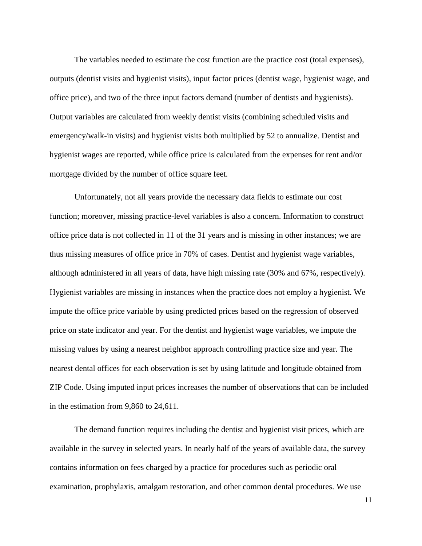The variables needed to estimate the cost function are the practice cost (total expenses), outputs (dentist visits and hygienist visits), input factor prices (dentist wage, hygienist wage, and office price), and two of the three input factors demand (number of dentists and hygienists). Output variables are calculated from weekly dentist visits (combining scheduled visits and emergency/walk-in visits) and hygienist visits both multiplied by 52 to annualize. Dentist and hygienist wages are reported, while office price is calculated from the expenses for rent and/or mortgage divided by the number of office square feet.

Unfortunately, not all years provide the necessary data fields to estimate our cost function; moreover, missing practice-level variables is also a concern. Information to construct office price data is not collected in 11 of the 31 years and is missing in other instances; we are thus missing measures of office price in 70% of cases. Dentist and hygienist wage variables, although administered in all years of data, have high missing rate (30% and 67%, respectively). Hygienist variables are missing in instances when the practice does not employ a hygienist. We impute the office price variable by using predicted prices based on the regression of observed price on state indicator and year. For the dentist and hygienist wage variables, we impute the missing values by using a nearest neighbor approach controlling practice size and year. The nearest dental offices for each observation is set by using latitude and longitude obtained from ZIP Code. Using imputed input prices increases the number of observations that can be included in the estimation from 9,860 to 24,611.

The demand function requires including the dentist and hygienist visit prices, which are available in the survey in selected years. In nearly half of the years of available data, the survey contains information on fees charged by a practice for procedures such as periodic oral examination, prophylaxis, amalgam restoration, and other common dental procedures. We use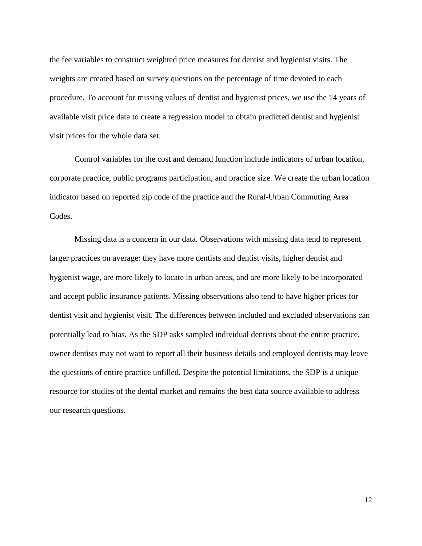the fee variables to construct weighted price measures for dentist and hygienist visits. The weights are created based on survey questions on the percentage of time devoted to each procedure. To account for missing values of dentist and hygienist prices, we use the 14 years of available visit price data to create a regression model to obtain predicted dentist and hygienist visit prices for the whole data set.

Control variables for the cost and demand function include indicators of urban location, corporate practice, public programs participation, and practice size. We create the urban location indicator based on reported zip code of the practice and the Rural-Urban Commuting Area Codes.

Missing data is a concern in our data. Observations with missing data tend to represent larger practices on average: they have more dentists and dentist visits, higher dentist and hygienist wage, are more likely to locate in urban areas, and are more likely to be incorporated and accept public insurance patients. Missing observations also tend to have higher prices for dentist visit and hygienist visit. The differences between included and excluded observations can potentially lead to bias. As the SDP asks sampled individual dentists about the entire practice, owner dentists may not want to report all their business details and employed dentists may leave the questions of entire practice unfilled. Despite the potential limitations, the SDP is a unique resource for studies of the dental market and remains the best data source available to address our research questions.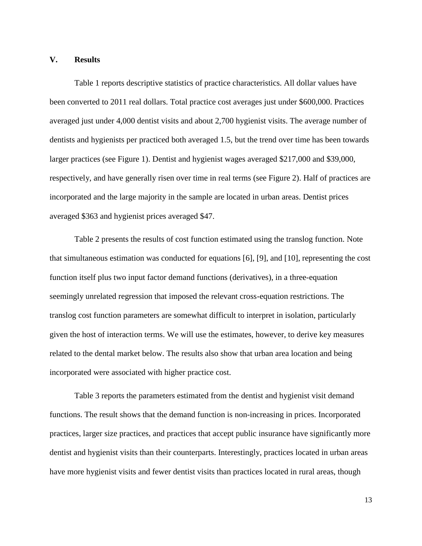#### **V. Results**

Table 1 reports descriptive statistics of practice characteristics. All dollar values have been converted to 2011 real dollars. Total practice cost averages just under \$600,000. Practices averaged just under 4,000 dentist visits and about 2,700 hygienist visits. The average number of dentists and hygienists per practiced both averaged 1.5, but the trend over time has been towards larger practices (see Figure 1). Dentist and hygienist wages averaged \$217,000 and \$39,000, respectively, and have generally risen over time in real terms (see Figure 2). Half of practices are incorporated and the large majority in the sample are located in urban areas. Dentist prices averaged \$363 and hygienist prices averaged \$47.

Table 2 presents the results of cost function estimated using the translog function. Note that simultaneous estimation was conducted for equations [6], [9], and [10], representing the cost function itself plus two input factor demand functions (derivatives), in a three-equation seemingly unrelated regression that imposed the relevant cross-equation restrictions. The translog cost function parameters are somewhat difficult to interpret in isolation, particularly given the host of interaction terms. We will use the estimates, however, to derive key measures related to the dental market below. The results also show that urban area location and being incorporated were associated with higher practice cost.

Table 3 reports the parameters estimated from the dentist and hygienist visit demand functions. The result shows that the demand function is non-increasing in prices. Incorporated practices, larger size practices, and practices that accept public insurance have significantly more dentist and hygienist visits than their counterparts. Interestingly, practices located in urban areas have more hygienist visits and fewer dentist visits than practices located in rural areas, though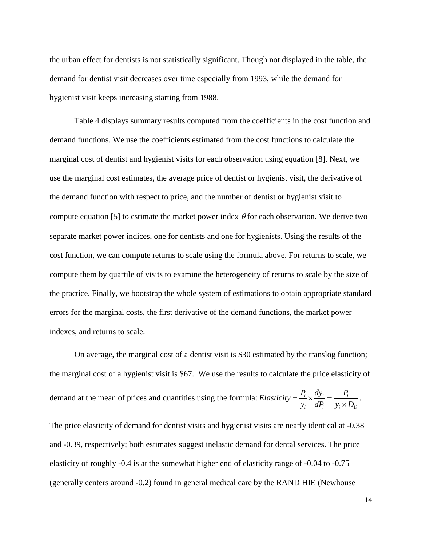the urban effect for dentists is not statistically significant. Though not displayed in the table, the demand for dentist visit decreases over time especially from 1993, while the demand for hygienist visit keeps increasing starting from 1988.

Table 4 displays summary results computed from the coefficients in the cost function and demand functions. We use the coefficients estimated from the cost functions to calculate the marginal cost of dentist and hygienist visits for each observation using equation [8]. Next, we use the marginal cost estimates, the average price of dentist or hygienist visit, the derivative of the demand function with respect to price, and the number of dentist or hygienist visit to compute equation [5] to estimate the market power index  $\theta$  for each observation. We derive two separate market power indices, one for dentists and one for hygienists. Using the results of the cost function, we can compute returns to scale using the formula above. For returns to scale, we compute them by quartile of visits to examine the heterogeneity of returns to scale by the size of the practice. Finally, we bootstrap the whole system of estimations to obtain appropriate standard errors for the marginal costs, the first derivative of the demand functions, the market power indexes, and returns to scale.

On average, the marginal cost of a dentist visit is \$30 estimated by the translog function; the marginal cost of a hygienist visit is \$67. We use the results to calculate the price elasticity of demand at the mean of prices and quantities using the formula: 1  $\frac{p_i}{i} \times \frac{dy_i}{y} = \frac{P_i}{i}$ *i*  $dP_i$   $y_i \times D_{1i}$  $Elasticity = \frac{P_i}{r} \times \frac{dy_i}{dt} = \frac{P_i}{r}$  $\frac{u_i}{y_i} \times \frac{dy_i}{dP_i} = \frac{u_i}{y_i \times D_i}$  $=\frac{P_i}{y_i}\times\frac{dy_i}{dP_i}=\frac{F}{y_i}\times$ . The price elasticity of demand for dentist visits and hygienist visits are nearly identical at -0.38 and -0.39, respectively; both estimates suggest inelastic demand for dental services. The price elasticity of roughly -0.4 is at the somewhat higher end of elasticity range of -0.04 to -0.75 (generally centers around -0.2) found in general medical care by the RAND HIE (Newhouse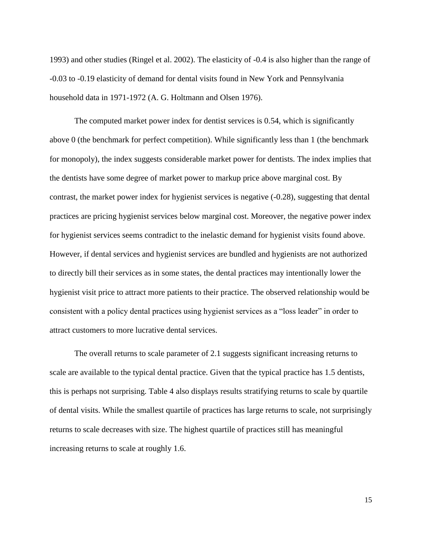1993) and other studies (Ringel et al. 2002). The elasticity of -0.4 is also higher than the range of -0.03 to -0.19 elasticity of demand for dental visits found in New York and Pennsylvania household data in 1971-1972 (A. G. Holtmann and Olsen 1976).

The computed market power index for dentist services is 0.54, which is significantly above 0 (the benchmark for perfect competition). While significantly less than 1 (the benchmark for monopoly), the index suggests considerable market power for dentists. The index implies that the dentists have some degree of market power to markup price above marginal cost. By contrast, the market power index for hygienist services is negative (-0.28), suggesting that dental practices are pricing hygienist services below marginal cost. Moreover, the negative power index for hygienist services seems contradict to the inelastic demand for hygienist visits found above. However, if dental services and hygienist services are bundled and hygienists are not authorized to directly bill their services as in some states, the dental practices may intentionally lower the hygienist visit price to attract more patients to their practice. The observed relationship would be consistent with a policy dental practices using hygienist services as a "loss leader" in order to attract customers to more lucrative dental services.

The overall returns to scale parameter of 2.1 suggests significant increasing returns to scale are available to the typical dental practice. Given that the typical practice has 1.5 dentists, this is perhaps not surprising. Table 4 also displays results stratifying returns to scale by quartile of dental visits. While the smallest quartile of practices has large returns to scale, not surprisingly returns to scale decreases with size. The highest quartile of practices still has meaningful increasing returns to scale at roughly 1.6.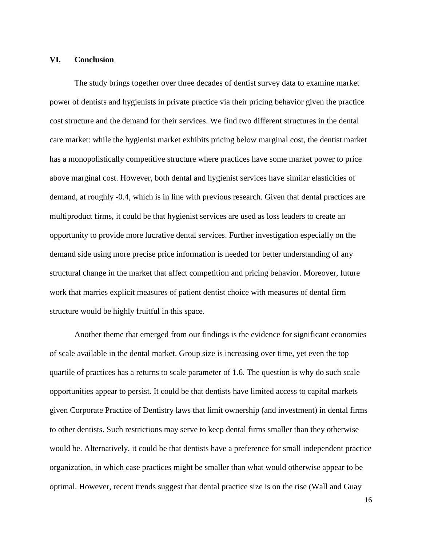#### **VI. Conclusion**

The study brings together over three decades of dentist survey data to examine market power of dentists and hygienists in private practice via their pricing behavior given the practice cost structure and the demand for their services. We find two different structures in the dental care market: while the hygienist market exhibits pricing below marginal cost, the dentist market has a monopolistically competitive structure where practices have some market power to price above marginal cost. However, both dental and hygienist services have similar elasticities of demand, at roughly -0.4, which is in line with previous research. Given that dental practices are multiproduct firms, it could be that hygienist services are used as loss leaders to create an opportunity to provide more lucrative dental services. Further investigation especially on the demand side using more precise price information is needed for better understanding of any structural change in the market that affect competition and pricing behavior. Moreover, future work that marries explicit measures of patient dentist choice with measures of dental firm structure would be highly fruitful in this space.

Another theme that emerged from our findings is the evidence for significant economies of scale available in the dental market. Group size is increasing over time, yet even the top quartile of practices has a returns to scale parameter of 1.6. The question is why do such scale opportunities appear to persist. It could be that dentists have limited access to capital markets given Corporate Practice of Dentistry laws that limit ownership (and investment) in dental firms to other dentists. Such restrictions may serve to keep dental firms smaller than they otherwise would be. Alternatively, it could be that dentists have a preference for small independent practice organization, in which case practices might be smaller than what would otherwise appear to be optimal. However, recent trends suggest that dental practice size is on the rise (Wall and Guay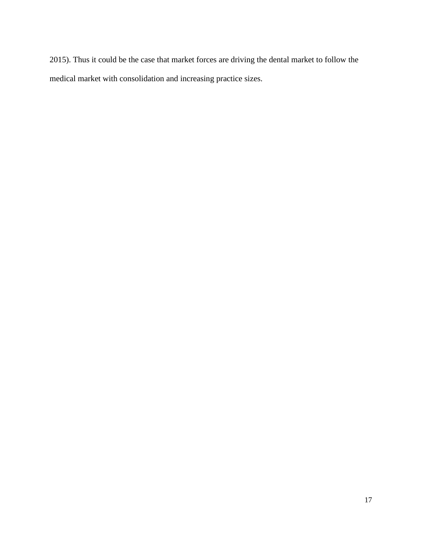2015). Thus it could be the case that market forces are driving the dental market to follow the medical market with consolidation and increasing practice sizes.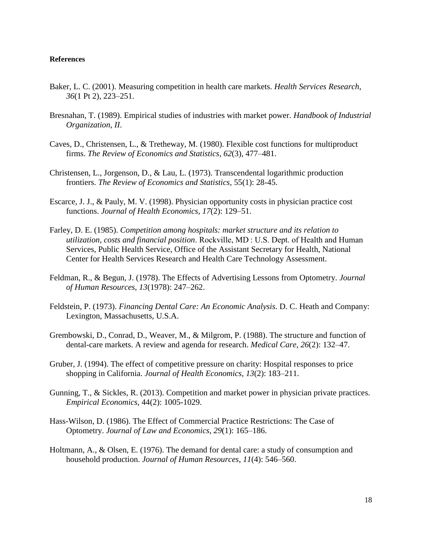#### **References**

- Baker, L. C. (2001). Measuring competition in health care markets. *Health Services Research*, *36*(1 Pt 2), 223–251.
- Bresnahan, T. (1989). Empirical studies of industries with market power. *Handbook of Industrial Organization*, *II*.
- Caves, D., Christensen, L., & Tretheway, M. (1980). Flexible cost functions for multiproduct firms. *The Review of Economics and Statistics*, *62*(3), 477–481.
- Christensen, L., Jorgenson, D., & Lau, L. (1973). Transcendental logarithmic production frontiers. *The Review of Economics and Statistics,* 55(1): 28-45.
- Escarce, J. J., & Pauly, M. V. (1998). Physician opportunity costs in physician practice cost functions. *Journal of Health Economics*, *17*(2): 129–51.
- Farley, D. E. (1985). *Competition among hospitals: market structure and its relation to utilization, costs and financial position*. Rockville, MD : U.S. Dept. of Health and Human Services, Public Health Service, Office of the Assistant Secretary for Health, National Center for Health Services Research and Health Care Technology Assessment.
- Feldman, R., & Begun, J. (1978). The Effects of Advertising Lessons from Optometry. *Journal of Human Resources*, *13*(1978): 247–262.
- Feldstein, P. (1973). *Financing Dental Care: An Economic Analysis*. D. C. Heath and Company: Lexington, Massachusetts, U.S.A.
- Grembowski, D., Conrad, D., Weaver, M., & Milgrom, P. (1988). The structure and function of dental-care markets. A review and agenda for research. *Medical Care*, *26*(2): 132–47.
- Gruber, J. (1994). The effect of competitive pressure on charity: Hospital responses to price shopping in California. *Journal of Health Economics*, *13*(2): 183–211.
- Gunning, T., & Sickles, R. (2013). Competition and market power in physician private practices. *Empirical Economics,* 44(2): 1005-1029.
- Hass-Wilson, D. (1986). The Effect of Commercial Practice Restrictions: The Case of Optometry. *Journal of Law and Economics*, *29*(1): 165–186.
- Holtmann, A., & Olsen, E. (1976). The demand for dental care: a study of consumption and household production. *Journal of Human Resources*, *11*(4): 546–560.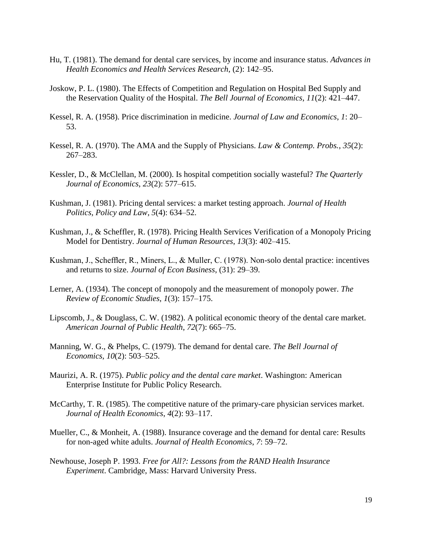- Hu, T. (1981). The demand for dental care services, by income and insurance status. *Advances in Health Economics and Health Services Research*, (2): 142–95.
- Joskow, P. L. (1980). The Effects of Competition and Regulation on Hospital Bed Supply and the Reservation Quality of the Hospital. *The Bell Journal of Economics*, *11*(2): 421–447.
- Kessel, R. A. (1958). Price discrimination in medicine. *Journal of Law and Economics*, *1*: 20– 53.
- Kessel, R. A. (1970). The AMA and the Supply of Physicians. *Law & Contemp. Probs.*, *35*(2): 267–283.
- Kessler, D., & McClellan, M. (2000). Is hospital competition socially wasteful? *The Quarterly Journal of Economics*, *23*(2): 577–615.
- Kushman, J. (1981). Pricing dental services: a market testing approach. *Journal of Health Politics, Policy and Law*, *5*(4): 634–52.
- Kushman, J., & Scheffler, R. (1978). Pricing Health Services Verification of a Monopoly Pricing Model for Dentistry. *Journal of Human Resources*, *13*(3): 402–415.
- Kushman, J., Scheffler, R., Miners, L., & Muller, C. (1978). Non-solo dental practice: incentives and returns to size. *Journal of Econ Business*, (31): 29–39.
- Lerner, A. (1934). The concept of monopoly and the measurement of monopoly power. *The Review of Economic Studies*, *1*(3): 157–175.
- Lipscomb, J., & Douglass, C. W. (1982). A political economic theory of the dental care market. *American Journal of Public Health*, *72*(7): 665–75.
- Manning, W. G., & Phelps, C. (1979). The demand for dental care. *The Bell Journal of Economics*, *10*(2): 503–525.
- Maurizi, A. R. (1975). *Public policy and the dental care market*. Washington: American Enterprise Institute for Public Policy Research.
- McCarthy, T. R. (1985). The competitive nature of the primary-care physician services market. *Journal of Health Economics*, *4*(2): 93–117.
- Mueller, C., & Monheit, A. (1988). Insurance coverage and the demand for dental care: Results for non-aged white adults. *Journal of Health Economics*, *7*: 59–72.
- Newhouse, Joseph P. 1993. *Free for All?: Lessons from the RAND Health Insurance Experiment*. Cambridge, Mass: Harvard University Press.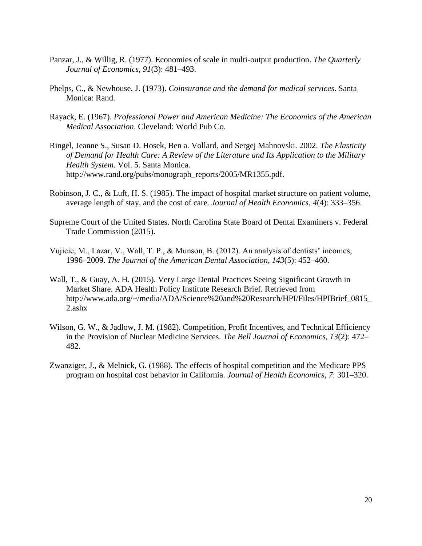- Panzar, J., & Willig, R. (1977). Economies of scale in multi-output production. *The Quarterly Journal of Economics*, *91*(3): 481–493.
- Phelps, C., & Newhouse, J. (1973). *Coinsurance and the demand for medical services*. Santa Monica: Rand.
- Rayack, E. (1967). *Professional Power and American Medicine: The Economics of the American Medical Association*. Cleveland: World Pub Co.
- Ringel, Jeanne S., Susan D. Hosek, Ben a. Vollard, and Sergej Mahnovski. 2002. *The Elasticity of Demand for Health Care: A Review of the Literature and Its Application to the Military Health System*. Vol. 5. Santa Monica. http://www.rand.org/pubs/monograph\_reports/2005/MR1355.pdf.
- Robinson, J. C., & Luft, H. S. (1985). The impact of hospital market structure on patient volume, average length of stay, and the cost of care. *Journal of Health Economics*, *4*(4): 333–356.
- Supreme Court of the United States. North Carolina State Board of Dental Examiners v. Federal Trade Commission (2015).
- Vujicic, M., Lazar, V., Wall, T. P., & Munson, B. (2012). An analysis of dentists' incomes, 1996–2009. *The Journal of the American Dental Association*, *143*(5): 452–460.
- Wall, T., & Guay, A. H. (2015). Very Large Dental Practices Seeing Significant Growth in Market Share. ADA Health Policy Institute Research Brief. Retrieved from http://www.ada.org/~/media/ADA/Science%20and%20Research/HPI/Files/HPIBrief\_0815\_ 2.ashx
- Wilson, G. W., & Jadlow, J. M. (1982). Competition, Profit Incentives, and Technical Efficiency in the Provision of Nuclear Medicine Services. *The Bell Journal of Economics*, *13*(2): 472– 482.
- Zwanziger, J., & Melnick, G. (1988). The effects of hospital competition and the Medicare PPS program on hospital cost behavior in California. *Journal of Health Economics*, *7*: 301–320.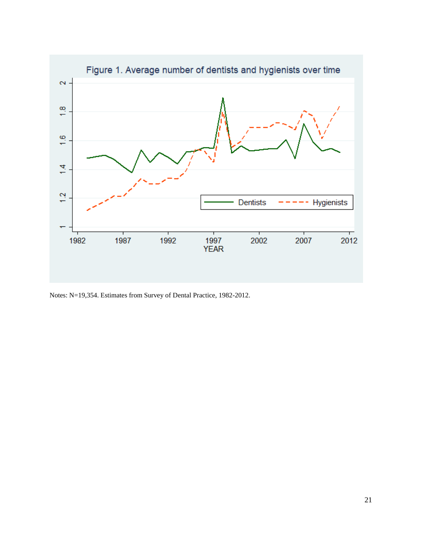

Notes: N=19,354. Estimates from Survey of Dental Practice, 1982-2012.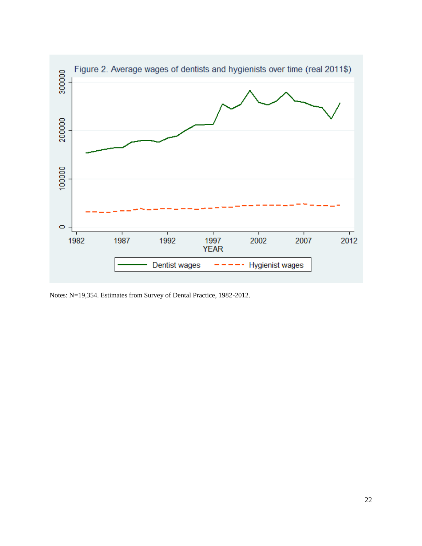

Notes: N=19,354. Estimates from Survey of Dental Practice, 1982-2012.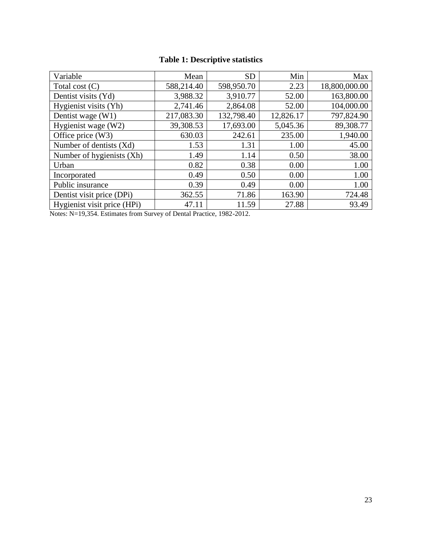# **Table 1: Descriptive statistics**

| Variable                    | Mean       | <b>SD</b>  | Min       | Max           |
|-----------------------------|------------|------------|-----------|---------------|
| Total cost $(C)$            | 588,214.40 | 598,950.70 | 2.23      | 18,800,000.00 |
| Dentist visits (Yd)         | 3,988.32   | 3,910.77   | 52.00     | 163,800.00    |
| Hygienist visits (Yh)       | 2,741.46   | 2,864.08   | 52.00     | 104,000.00    |
| Dentist wage (W1)           | 217,083.30 | 132,798.40 | 12,826.17 | 797,824.90    |
| Hygienist wage (W2)         | 39,308.53  | 17,693.00  | 5,045.36  | 89,308.77     |
| Office price $(W3)$         | 630.03     | 242.61     | 235.00    | 1,940.00      |
| Number of dentists (Xd)     | 1.53       | 1.31       | 1.00      | 45.00         |
| Number of hygienists (Xh)   | 1.49       | 1.14       | 0.50      | 38.00         |
| Urban                       | 0.82       | 0.38       | 0.00      | 1.00          |
| Incorporated                | 0.49       | 0.50       | 0.00      | 1.00          |
| Public insurance            | 0.39       | 0.49       | 0.00      | 1.00          |
| Dentist visit price (DPi)   | 362.55     | 71.86      | 163.90    | 724.48        |
| Hygienist visit price (HPi) | 47.11      | 11.59      | 27.88     | 93.49         |

Notes: N=19,354. Estimates from Survey of Dental Practice, 1982-2012.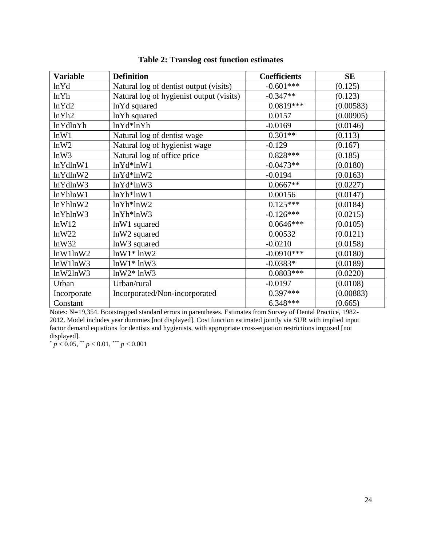| <b>Variable</b> | <b>Definition</b>                        | <b>Coefficients</b> | SE        |
|-----------------|------------------------------------------|---------------------|-----------|
| ln Yd           | Natural log of dentist output (visits)   | $-0.601***$         | (0.125)   |
| lnYh            | Natural log of hygienist output (visits) | $-0.347**$          | (0.123)   |
| lnYd2           | lnYd squared                             | $0.0819***$         | (0.00583) |
| lnYh2           | lnYh squared                             | 0.0157              | (0.00905) |
| lnYdlnYh        | $lnYd*lnYh$                              | $-0.0169$           | (0.0146)  |
| lnW1            | Natural log of dentist wage              | $0.301**$           | (0.113)   |
| lnW2            | Natural log of hygienist wage            | $-0.129$            | (0.167)   |
| lnW3            | Natural log of office price              | $0.828***$          | (0.185)   |
| lnYdlnW1        | $lnYd*lnW1$                              | $-0.0473**$         | (0.0180)  |
| lnYdlnW2        | $lnYd*lnW2$                              | $-0.0194$           | (0.0163)  |
| lnYdlnW3        | $lnYd*lnW3$                              | $0.0667**$          | (0.0227)  |
| lnYhlnW1        | $lnYh*lnW1$                              | 0.00156             | (0.0147)  |
| lnYhlnW2        | $lnYh*lnW2$                              | $0.125***$          | (0.0184)  |
| lnYhlnW3        | $lnYh*lnW3$                              | $-0.126***$         | (0.0215)  |
| lnW12           | $lnW1$ squared                           | $0.0646***$         | (0.0105)  |
| lnW22           | lnW2 squared                             | 0.00532             | (0.0121)  |
| lnW32           | lnW3 squared                             | $-0.0210$           | (0.0158)  |
| lnW1lnW2        | $lnW1*lnW2$                              | $-0.0910***$        | (0.0180)  |
| lnW1lnW3        | $lnW1*lnW3$                              | $-0.0383*$          | (0.0189)  |
| lnW2lnW3        | $lnW2*lnW3$                              | $0.0803***$         | (0.0220)  |
| Urban           | Urban/rural                              | $-0.0197$           | (0.0108)  |
| Incorporate     | Incorporated/Non-incorporated            | $0.397***$          | (0.00883) |
| Constant        |                                          | $6.348***$          | (0.665)   |

## **Table 2: Translog cost function estimates**

Notes: N=19,354. Bootstrapped standard errors in parentheses. Estimates from Survey of Dental Practice, 1982- 2012. Model includes year dummies [not displayed]. Cost function estimated jointly via SUR with implied input factor demand equations for dentists and hygienists, with appropriate cross-equation restrictions imposed [not displayed].

 $p < 0.05$ , \*\*  $p < 0.01$ , \*\*\*  $p < 0.001$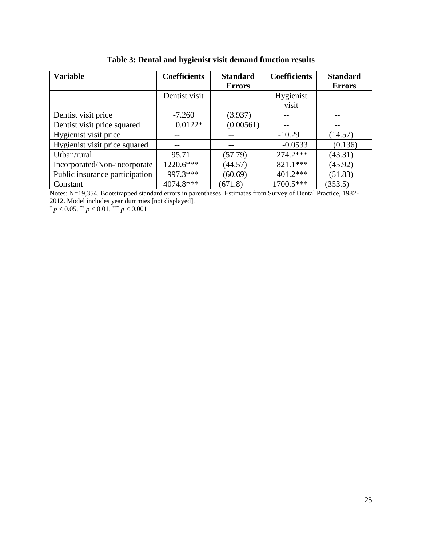| <b>Variable</b>                | <b>Coefficients</b> | <b>Standard</b> | <b>Coefficients</b> | <b>Standard</b> |
|--------------------------------|---------------------|-----------------|---------------------|-----------------|
|                                |                     | <b>Errors</b>   |                     | <b>Errors</b>   |
|                                | Dentist visit       |                 | Hygienist           |                 |
|                                |                     |                 | visit               |                 |
| Dentist visit price            | $-7.260$            | (3.937)         |                     |                 |
| Dentist visit price squared    | $0.0122*$           | (0.00561)       |                     | --              |
| Hygienist visit price          |                     |                 | $-10.29$            | (14.57)         |
| Hygienist visit price squared  |                     |                 | $-0.0533$           | (0.136)         |
| Urban/rural                    | 95.71               | (57.79)         | 274.2***            | (43.31)         |
| Incorporated/Non-incorporate   | 1220.6***           | (44.57)         | 821.1***            | (45.92)         |
| Public insurance participation | 997.3***            | (60.69)         | $401.2***$          | (51.83)         |
| Constant                       | 4074.8***           | (671.8)         | 1700.5***           | (353.5)         |

**Table 3: Dental and hygienist visit demand function results**

Notes: N=19,354. Bootstrapped standard errors in parentheses. Estimates from Survey of Dental Practice, 1982- 2012. Model includes year dummies [not displayed].

 $p < 0.05$ ,  $p < 0.01$ ,  $p < 0.001$